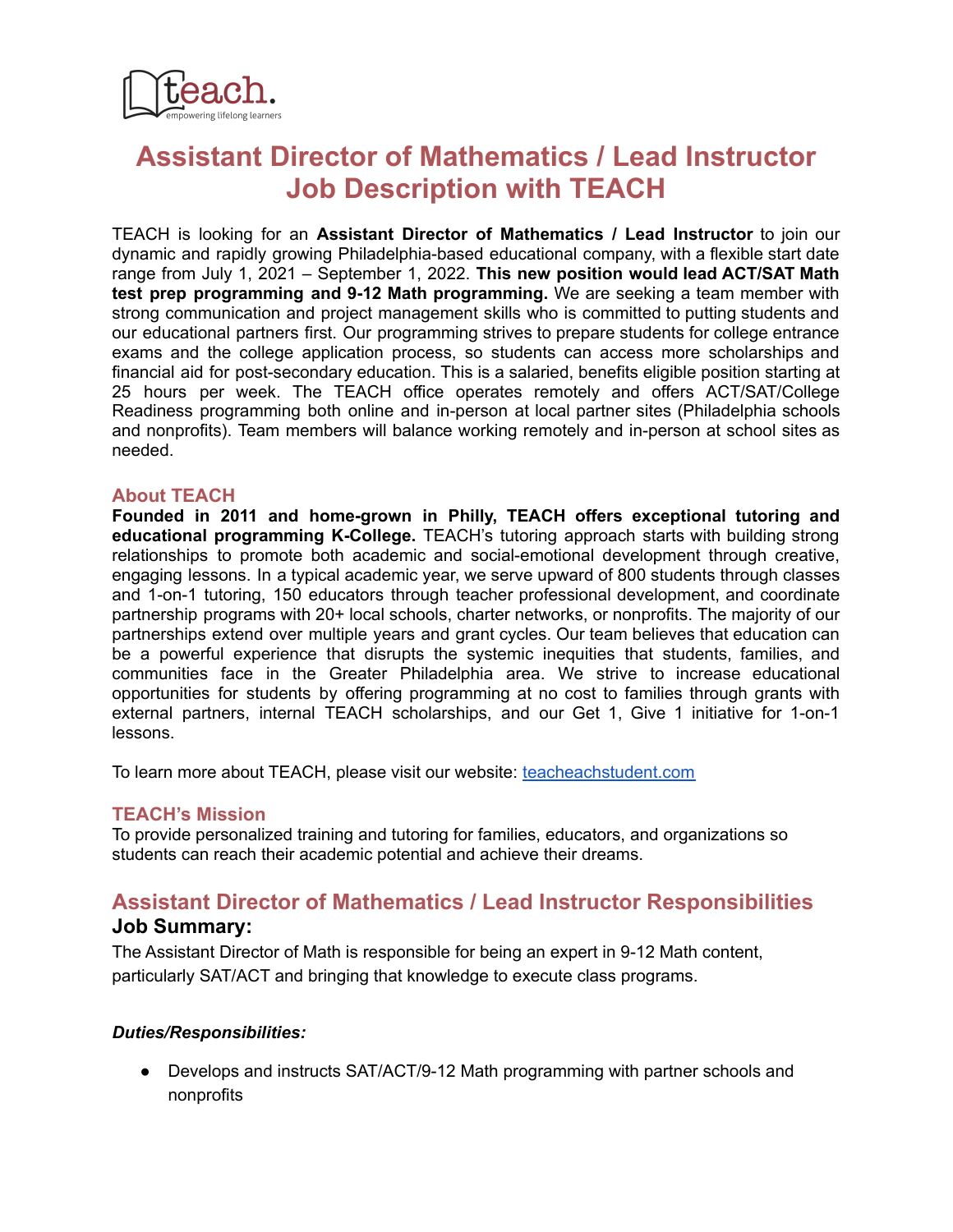

# **Assistant Director of Mathematics / Lead Instructor Job Description with TEACH**

TEACH is looking for an **Assistant Director of Mathematics / Lead Instructor** to join our dynamic and rapidly growing Philadelphia-based educational company, with a flexible start date range from July 1, 2021 – September 1, 2022. **This new position would lead ACT/SAT Math test prep programming and 9-12 Math programming.** We are seeking a team member with strong communication and project management skills who is committed to putting students and our educational partners first. Our programming strives to prepare students for college entrance exams and the college application process, so students can access more scholarships and financial aid for post-secondary education. This is a salaried, benefits eligible position starting at 25 hours per week. The TEACH office operates remotely and offers ACT/SAT/College Readiness programming both online and in-person at local partner sites (Philadelphia schools and nonprofits). Team members will balance working remotely and in-person at school sites as needed.

#### **About TEACH**

**Founded in 2011 and home-grown in Philly, TEACH offers exceptional tutoring and educational programming K-College.** TEACH's tutoring approach starts with building strong relationships to promote both academic and social-emotional development through creative, engaging lessons. In a typical academic year, we serve upward of 800 students through classes and 1-on-1 tutoring, 150 educators through teacher professional development, and coordinate partnership programs with 20+ local schools, charter networks, or nonprofits. The majority of our partnerships extend over multiple years and grant cycles. Our team believes that education can be a powerful experience that disrupts the systemic inequities that students, families, and communities face in the Greater Philadelphia area. We strive to increase educational opportunities for students by offering programming at no cost to families through grants with external partners, internal TEACH scholarships, and our Get 1, Give 1 initiative for 1-on-1 lessons.

To learn more about TEACH, please visit our website: [teacheachstudent.com](http://www.teacheachstudent.com/)

## **TEACH's Mission**

To provide personalized training and tutoring for families, educators, and organizations so students can reach their academic potential and achieve their dreams.

# **Assistant Director of Mathematics / Lead Instructor Responsibilities Job Summary:**

The Assistant Director of Math is responsible for being an expert in 9-12 Math content, particularly SAT/ACT and bringing that knowledge to execute class programs.

#### *Duties/Responsibilities:*

● Develops and instructs SAT/ACT/9-12 Math programming with partner schools and nonprofits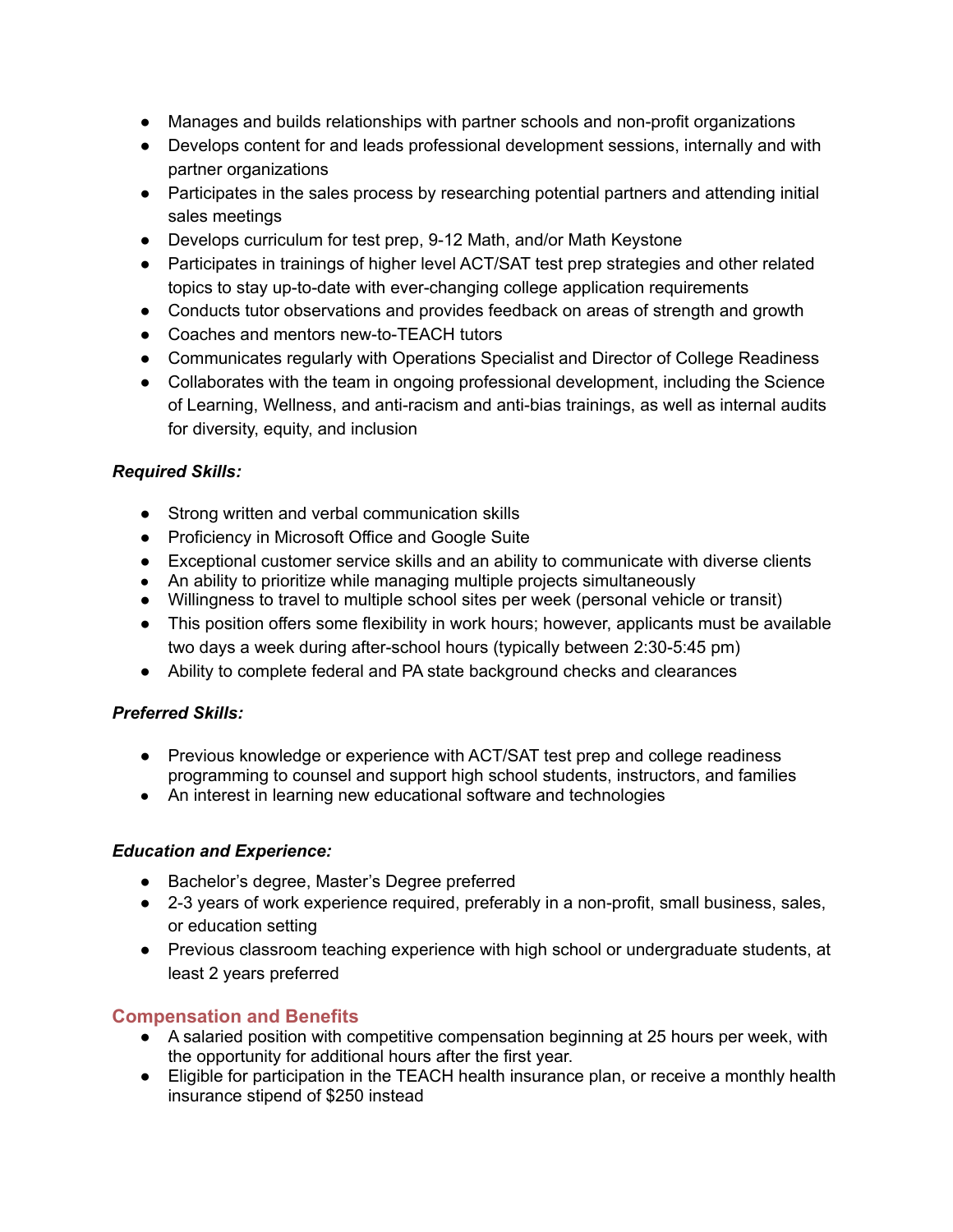- Manages and builds relationships with partner schools and non-profit organizations
- Develops content for and leads professional development sessions, internally and with partner organizations
- Participates in the sales process by researching potential partners and attending initial sales meetings
- Develops curriculum for test prep, 9-12 Math, and/or Math Keystone
- Participates in trainings of higher level ACT/SAT test prep strategies and other related topics to stay up-to-date with ever-changing college application requirements
- Conducts tutor observations and provides feedback on areas of strength and growth
- Coaches and mentors new-to-TEACH tutors
- Communicates regularly with Operations Specialist and Director of College Readiness
- Collaborates with the team in ongoing professional development, including the Science of Learning, Wellness, and anti-racism and anti-bias trainings, as well as internal audits for diversity, equity, and inclusion

# *Required Skills:*

- Strong written and verbal communication skills
- Proficiency in Microsoft Office and Google Suite
- Exceptional customer service skills and an ability to communicate with diverse clients
- An ability to prioritize while managing multiple projects simultaneously
- Willingness to travel to multiple school sites per week (personal vehicle or transit)
- This position offers some flexibility in work hours; however, applicants must be available two days a week during after-school hours (typically between 2:30-5:45 pm)
- Ability to complete federal and PA state background checks and clearances

## *Preferred Skills:*

- Previous knowledge or experience with ACT/SAT test prep and college readiness programming to counsel and support high school students, instructors, and families
- An interest in learning new educational software and technologies

## *Education and Experience:*

- Bachelor's degree, Master's Degree preferred
- 2-3 years of work experience required, preferably in a non-profit, small business, sales, or education setting
- Previous classroom teaching experience with high school or undergraduate students, at least 2 years preferred

# **Compensation and Benefits**

- A salaried position with competitive compensation beginning at 25 hours per week, with the opportunity for additional hours after the first year.
- Eligible for participation in the TEACH health insurance plan, or receive a monthly health insurance stipend of \$250 instead